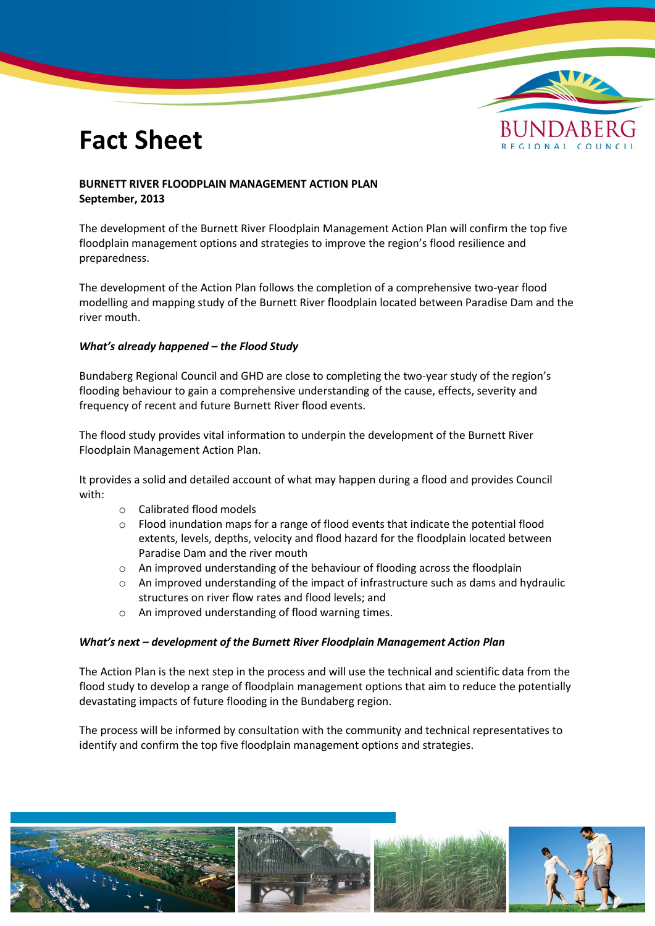# **Fact Sheet**



## **BURNETT RIVER FLOODPLAIN MANAGEMENT ACTION PLAN September, 2013**

The development of the Burnett River Floodplain Management Action Plan will confirm the top five floodplain management options and strategies to improve the region's flood resilience and preparedness.

The development of the Action Plan follows the completion of a comprehensive two-year flood modelling and mapping study of the Burnett River floodplain located between Paradise Dam and the river mouth.

### *What's already happened – the Flood Study*

Bundaberg Regional Council and GHD are close to completing the two-year study of the region's flooding behaviour to gain a comprehensive understanding of the cause, effects, severity and frequency of recent and future Burnett River flood events.

The flood study provides vital information to underpin the development of the Burnett River Floodplain Management Action Plan.

It provides a solid and detailed account of what may happen during a flood and provides Council with:

- o Calibrated flood models
- $\circ$  Flood inundation maps for a range of flood events that indicate the potential flood extents, levels, depths, velocity and flood hazard for the floodplain located between Paradise Dam and the river mouth
- o An improved understanding of the behaviour of flooding across the floodplain
- o An improved understanding of the impact of infrastructure such as dams and hydraulic structures on river flow rates and flood levels; and
- o An improved understanding of flood warning times.

### *What's next – development of the Burnett River Floodplain Management Action Plan*

The Action Plan is the next step in the process and will use the technical and scientific data from the flood study to develop a range of floodplain management options that aim to reduce the potentially devastating impacts of future flooding in the Bundaberg region.

The process will be informed by consultation with the community and technical representatives to identify and confirm the top five floodplain management options and strategies.

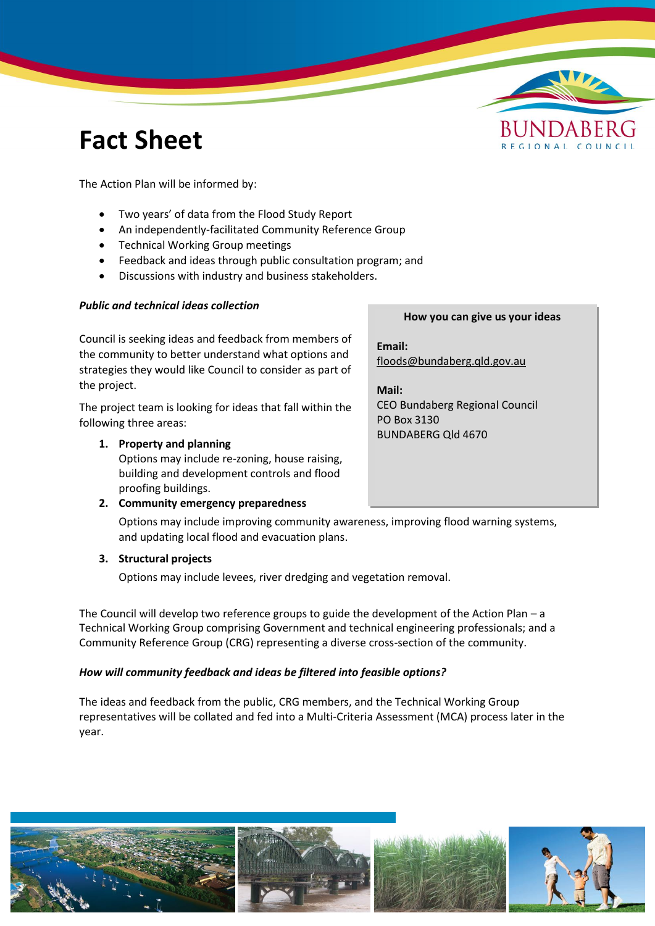# **Fact Sheet**



The Action Plan will be informed by:

- Two years' of data from the Flood Study Report
- An independently-facilitated Community Reference Group
- Technical Working Group meetings
- Feedback and ideas through public consultation program; and
- Discussions with industry and business stakeholders.

## *Public and technical ideas collection*

Council is seeking ideas and feedback from members of the community to better understand what options and strategies they would like Council to consider as part of the project.

The project team is looking for ideas that fall within the following three areas:

## **1. Property and planning**

Options may include re-zoning, house raising, building and development controls and flood proofing buildings.

## **2. Community emergency preparedness**

# Options may include improving community awareness, improving flood warning systems, and updating local flood and evacuation plans.

## **3. Structural projects**

Options may include levees, river dredging and vegetation removal.

The Council will develop two reference groups to guide the development of the Action Plan – a Technical Working Group comprising Government and technical engineering professionals; and a Community Reference Group (CRG) representing a diverse cross-section of the community.

# *How will community feedback and ideas be filtered into feasible options?*

The ideas and feedback from the public, CRG members, and the Technical Working Group representatives will be collated and fed into a Multi-Criteria Assessment (MCA) process later in the year.

### **How you can give us your ideas**

**Email:** [floods@bundaberg.qld.gov.au](mailto:floods@bundaberg.qld.gov.au)

**Mail:**  CEO Bundaberg Regional Council PO Box 3130 BUNDABERG Qld 4670